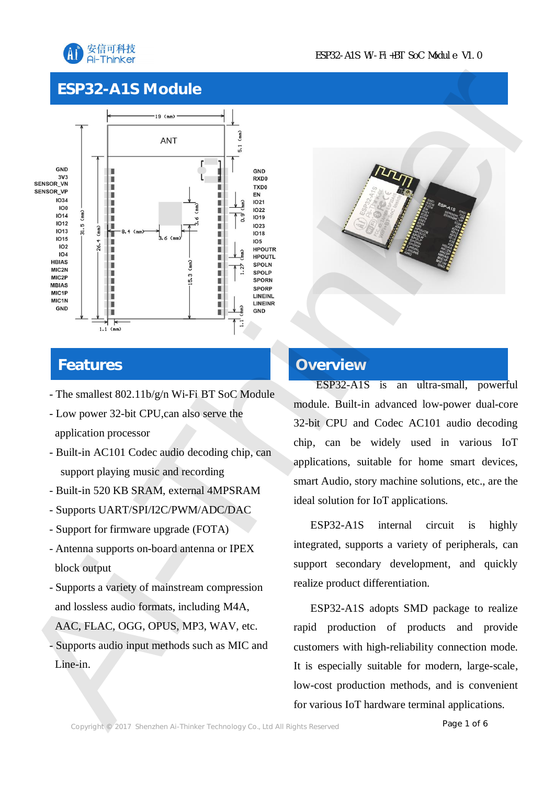

### **ESP32-A1S Module**





- The smallest 802.11b/g/n Wi-Fi BT SoC Module
- Low power 32-bit CPU,can also serve the application processor
- Built-in AC101 Codec audio decoding chip, can support playing music and recording
- Built-in 520 KB SRAM, external 4MPSRAM
- Supports UART/SPI/I2C/PWM/ADC/DAC
- Support for firmware upgrade (FOTA)
- Antenna supports on-board antenna or IPEX block output
- Supports a variety of mainstream compression and lossless audio formats, including M4A,
- AAC, FLAC, OGG, OPUS, MP3, WAV, etc.
- Supports audio input methods such as MIC and Line-in.

### **Overview**

ESP32-A1S is an ultra-small, powerful module. Built-in advanced low-power dual-core 32-bit CPU and Codec AC101 audio decoding chip, can be widely used in various IoT applications, suitable for home smart devices, smart Audio, story machine solutions, etc., are the ideal solution for IoT applications.

ESP32-A1S internal circuit is highly integrated, supports a variety of peripherals, can support secondary development, and quickly realize product differentiation.

ESP32-A1S adopts SMD package to realize rapid production of products and provide customers with high-reliability connection mode. It is especially suitable for modern, large-scale, low-cost production methods, and is convenient for various IoT hardware terminal applications.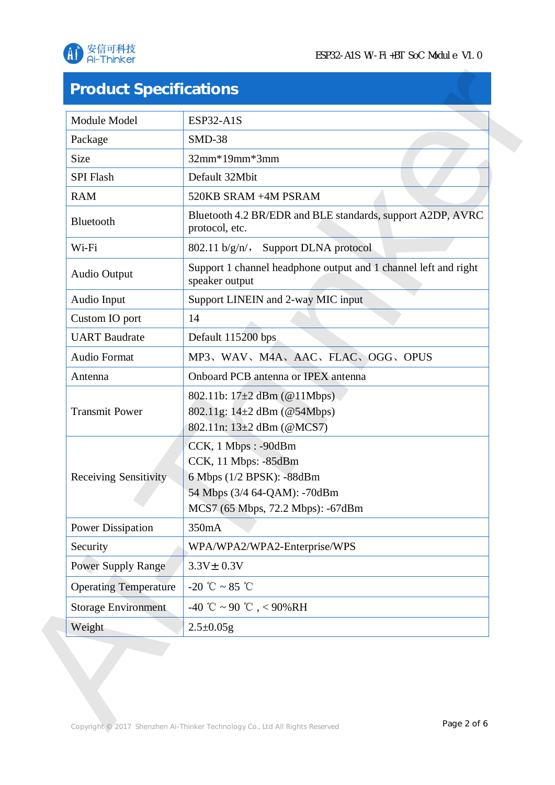



| Module Model                 | <b>ESP32-A1S</b>                                                                                                                               |  |
|------------------------------|------------------------------------------------------------------------------------------------------------------------------------------------|--|
| Package                      | $SMD-38$                                                                                                                                       |  |
| <b>Size</b>                  | $32mm*19mm*3mm$                                                                                                                                |  |
| <b>SPI Flash</b>             | Default 32Mbit                                                                                                                                 |  |
| <b>RAM</b>                   | 520KB SRAM +4M PSRAM                                                                                                                           |  |
| Bluetooth                    | Bluetooth 4.2 BR/EDR and BLE standards, support A2DP, AVRC<br>protocol, etc.                                                                   |  |
| Wi-Fi                        | Support DLNA protocol<br>$802.11 b/g/n/$ ,                                                                                                     |  |
| <b>Audio Output</b>          | Support 1 channel headphone output and 1 channel left and right<br>speaker output                                                              |  |
| Audio Input                  | Support LINEIN and 2-way MIC input                                                                                                             |  |
| Custom IO port               | 14                                                                                                                                             |  |
| <b>UART</b> Baudrate         | Default 115200 bps                                                                                                                             |  |
| Audio Format                 | MP3、WAV、M4A、AAC、FLAC、OGG、OPUS                                                                                                                  |  |
| Antenna                      | Onboard PCB antenna or IPEX antenna                                                                                                            |  |
| <b>Transmit Power</b>        | 802.11b: $17\pm2$ dBm (@11Mbps)<br>802.11g: $14\pm 2$ dBm (@54Mbps)<br>802.11n: 13±2 dBm (@MCS7)                                               |  |
| <b>Receiving Sensitivity</b> | CCK, 1 Mbps : -90dBm<br>CCK, 11 Mbps: -85dBm<br>6 Mbps (1/2 BPSK): -88dBm<br>54 Mbps (3/4 64-QAM): -70dBm<br>MCS7 (65 Mbps, 72.2 Mbps): -67dBm |  |
| Power Dissipation            | 350mA                                                                                                                                          |  |
| Security                     | WPA/WPA2/WPA2-Enterprise/WPS                                                                                                                   |  |
| <b>Power Supply Range</b>    | $3.3V \pm 0.3V$                                                                                                                                |  |
| <b>Operating Temperature</b> | -20 °C ~ 85 °C                                                                                                                                 |  |
| <b>Storage Environment</b>   | -40 °C ~ 90 °C , < 90%RH                                                                                                                       |  |
| Weight                       | $2.5 \pm 0.05$ g                                                                                                                               |  |
|                              |                                                                                                                                                |  |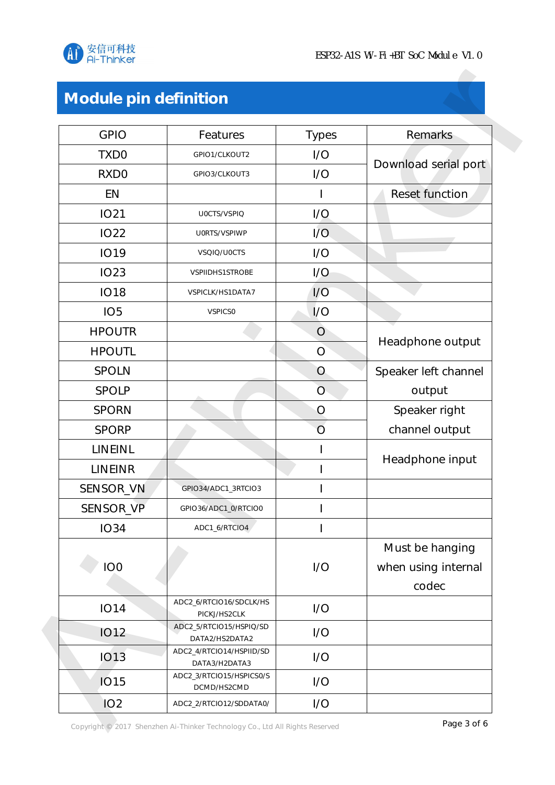

| Module pin definition |                                           |                |                                                 |  |
|-----------------------|-------------------------------------------|----------------|-------------------------------------------------|--|
| <b>GPIO</b>           | Features                                  | <b>Types</b>   | Remarks                                         |  |
| TXD <sub>0</sub>      | GPIO1/CLKOUT2                             | I/O            |                                                 |  |
| RXD <sub>0</sub>      | GPIO3/CLKOUT3                             | I/O            | Download serial port                            |  |
| <b>EN</b>             |                                           |                | <b>Reset function</b>                           |  |
| <b>IO21</b>           | U0CTS/VSPIQ                               | I/O            |                                                 |  |
| <b>IO22</b>           | U0RTS/VSPIWP                              | 1/O            |                                                 |  |
| <b>IO19</b>           | VSQIQ/U0CTS                               | I/O            |                                                 |  |
| <b>IO23</b>           | <b>VSPIIDHS1STROBE</b>                    | I/O            |                                                 |  |
| <b>IO18</b>           | VSPICLK/HS1DATA7                          | 1/O            |                                                 |  |
| IO <sub>5</sub>       | <b>VSPICSO</b>                            | I/O            |                                                 |  |
| <b>HPOUTR</b>         |                                           | $\overline{O}$ |                                                 |  |
| <b>HPOUTL</b>         |                                           | $\overline{O}$ | Headphone output                                |  |
| <b>SPOLN</b>          |                                           | $\overline{O}$ | Speaker left channel                            |  |
| <b>SPOLP</b>          |                                           | $\overline{O}$ | output                                          |  |
| <b>SPORN</b>          |                                           | O              | Speaker right                                   |  |
| <b>SPORP</b>          |                                           | O              | channel output                                  |  |
| LINEINL               |                                           |                |                                                 |  |
| LINEINR               |                                           |                | Headphone input                                 |  |
| SENSOR_VN             | GPIO34/ADC1_3RTCIO3                       |                |                                                 |  |
| SENSOR_VP             | GPIO36/ADC1_0/RTCIO0                      |                |                                                 |  |
| <b>IO34</b>           | ADC1_6/RTCIO4                             |                |                                                 |  |
| IO <sub>0</sub>       |                                           | I/O            | Must be hanging<br>when using internal<br>codec |  |
| <b>IO14</b>           | ADC2_6/RTCIO16/SDCLK/HS<br>PICKJ/HS2CLK   | I/O            |                                                 |  |
| <b>IO12</b>           | ADC2_5/RTCIO15/HSPIQ/SD<br>DATA2/HS2DATA2 | I/O            |                                                 |  |
| <b>IO13</b>           | ADC2_4/RTCIO14/HSPIID/SD<br>DATA3/H2DATA3 | I/O            |                                                 |  |
| <b>IO15</b>           | ADC2_3/RTCIO15/HSPICS0/S<br>DCMD/HS2CMD   | I/O            |                                                 |  |
| IO2                   | ADC2_2/RTCIO12/SDDATA0/                   | 1/O            |                                                 |  |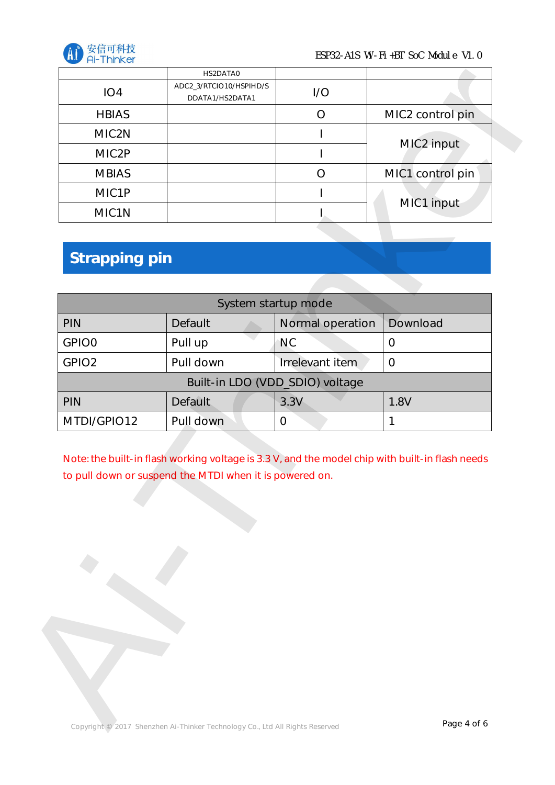

ESP32-A1S Wi-Fi+BT SoC Module V1.0

|                                                                              | HS2DATA0                                                                                                                                                   |                                 |                  |  |
|------------------------------------------------------------------------------|------------------------------------------------------------------------------------------------------------------------------------------------------------|---------------------------------|------------------|--|
| IO <sub>4</sub>                                                              | ADC2_3/RTCIO10/HSPIHD/S<br>DDATA1/HS2DATA1                                                                                                                 | I/O                             |                  |  |
| <b>HBIAS</b>                                                                 |                                                                                                                                                            | $\overline{O}$                  | MIC2 control pin |  |
| MIC2N                                                                        |                                                                                                                                                            |                                 |                  |  |
| MIC2P                                                                        |                                                                                                                                                            |                                 | MIC2 input       |  |
| <b>MBIAS</b>                                                                 |                                                                                                                                                            | $\bigcirc$                      | MIC1 control pin |  |
| MIC1P                                                                        |                                                                                                                                                            |                                 |                  |  |
| MIC1N                                                                        |                                                                                                                                                            |                                 | MIC1 input       |  |
|                                                                              |                                                                                                                                                            |                                 |                  |  |
| Strapping pin                                                                |                                                                                                                                                            |                                 |                  |  |
|                                                                              |                                                                                                                                                            |                                 |                  |  |
|                                                                              |                                                                                                                                                            | System startup mode             |                  |  |
| <b>PIN</b>                                                                   | Default                                                                                                                                                    | Normal operation                | Download         |  |
| GPIO0                                                                        | Pull up                                                                                                                                                    | <b>NC</b>                       | $\overline{0}$   |  |
| GPIO <sub>2</sub>                                                            | Pull down                                                                                                                                                  | Irrelevant item                 | $\mathbf 0$      |  |
|                                                                              |                                                                                                                                                            | Built-in LDO (VDD_SDIO) voltage |                  |  |
| <b>PIN</b>                                                                   | <b>Default</b>                                                                                                                                             | 3.3V                            | 1.8V             |  |
| MTDI/GPIO12                                                                  | Pull down                                                                                                                                                  | $\Omega$                        | 1                |  |
|                                                                              | Note: the built-in flash working voltage is 3.3 V, and the model chip with built-in flash needs<br>to pull down or suspend the MTDI when it is powered on. |                                 |                  |  |
|                                                                              |                                                                                                                                                            |                                 |                  |  |
| Copyright © 2017 Shenzhen Ai-Thinker Technology Co., Ltd All Rights Reserved |                                                                                                                                                            |                                 | Page 4 of 6      |  |

# **Strapping pin**

| System startup mode             |                |                  |          |  |  |
|---------------------------------|----------------|------------------|----------|--|--|
| <b>PIN</b>                      | Default        | Normal operation | Download |  |  |
| GPIO0                           | Pull up        | <b>NC</b>        | Ő        |  |  |
| GPIO <sub>2</sub>               | Pull down      | Irrelevant item  | O        |  |  |
| Built-in LDO (VDD_SDIO) voltage |                |                  |          |  |  |
| PIN                             | <b>Default</b> | 3.3V             | 1.8V     |  |  |
| MTDI/GPIO12                     | Pull down      | 0                |          |  |  |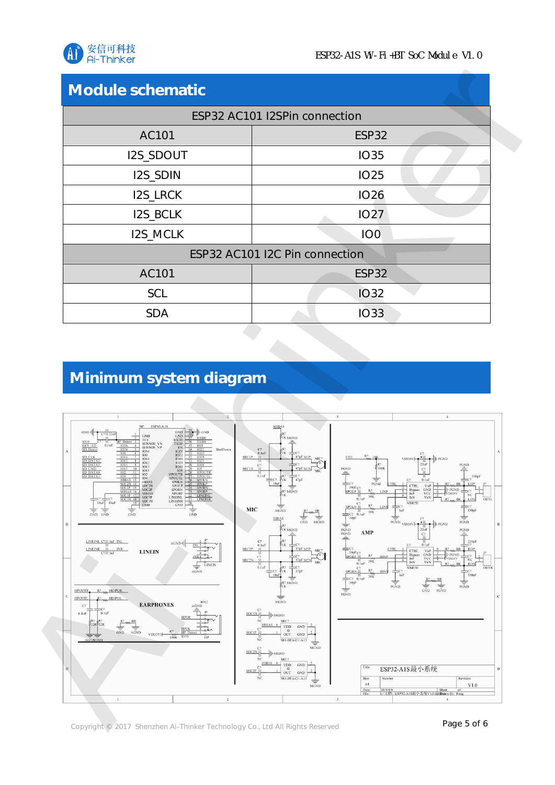

| Module schematic               |                 |  |  |  |  |
|--------------------------------|-----------------|--|--|--|--|
| ESP32 AC101 I2SPin connection  |                 |  |  |  |  |
| AC101                          | ESP32           |  |  |  |  |
| I2S_SDOUT                      | <b>IO35</b>     |  |  |  |  |
| I2S_SDIN                       | <b>IO25</b>     |  |  |  |  |
| <b>I2S_LRCK</b>                | <b>IO26</b>     |  |  |  |  |
| <b>I2S_BCLK</b>                | <b>IO27</b>     |  |  |  |  |
| <b>I2S_MCLK</b>                | IO <sub>0</sub> |  |  |  |  |
| ESP32 AC101 I2C Pin connection |                 |  |  |  |  |
| AC101                          | <b>ESP32</b>    |  |  |  |  |
| SCL                            | <b>IO32</b>     |  |  |  |  |
| <b>SDA</b>                     | <b>IO33</b>     |  |  |  |  |

# **Minimum system diagram**



Copyright © 2017 Shenzhen Ai-Thinker Technology Co., Ltd All Rights Reserved **Page 5 of 6**